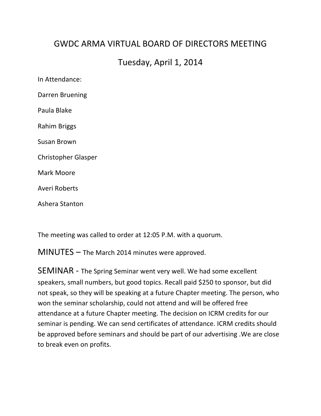## GWDC ARMA VIRTUAL BOARD OF DIRFCTORS MFFTING

## Tuesday, April 1, 2014

In Attendance: Darren Bruening Paula Blake Rahim Briggs Susan Brown Christopher Glasper Mark Moore Averi Roberts Ashera Stanton

The meeting was called to order at 12:05 P.M. with a quorum.

 $MINUTES -$  The March 2014 minutes were approved.

SEMINAR - The Spring Seminar went very well. We had some excellent speakers, small numbers, but good topics. Recall paid \$250 to sponsor, but did not speak, so they will be speaking at a future Chapter meeting. The person, who won the seminar scholarship, could not attend and will be offered free attendance at a future Chapter meeting. The decision on ICRM credits for our seminar is pending. We can send certificates of attendance. ICRM credits should be approved before seminars and should be part of our advertising . We are close to break even on profits.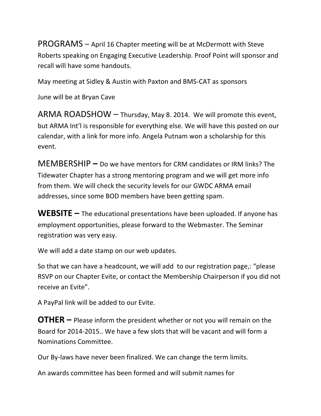PROGRAMS - April 16 Chapter meeting will be at McDermott with Steve Roberts speaking on Engaging Executive Leadership. Proof Point will sponsor and recall will have some handouts.

May meeting at Sidley & Austin with Paxton and BMS-CAT as sponsors

June will be at Bryan Cave

ARMA ROADSHOW  $-$  Thursday, May 8. 2014. We will promote this event, but ARMA Int'l is responsible for everything else. We will have this posted on our calendar, with a link for more info. Angela Putnam won a scholarship for this event.

MEMBERSHIP - Do we have mentors for CRM candidates or IRM links? The Tidewater Chapter has a strong mentoring program and we will get more info from them. We will check the security levels for our GWDC ARMA email addresses, since some BOD members have been getting spam.

**WEBSITE** – The educational presentations have been uploaded. If anyone has employment opportunities, please forward to the Webmaster. The Seminar registration was very easy.

We will add a date stamp on our web updates.

So that we can have a headcount, we will add to our registration page,: "please RSVP on our Chapter Evite, or contact the Membership Chairperson if you did not receive an Evite".

A PayPal link will be added to our Evite.

**OTHER** – Please inform the president whether or not you will remain on the Board for 2014-2015. We have a few slots that will be vacant and will form a Nominations Committee.

Our By-laws have never been finalized. We can change the term limits.

An awards committee has been formed and will submit names for